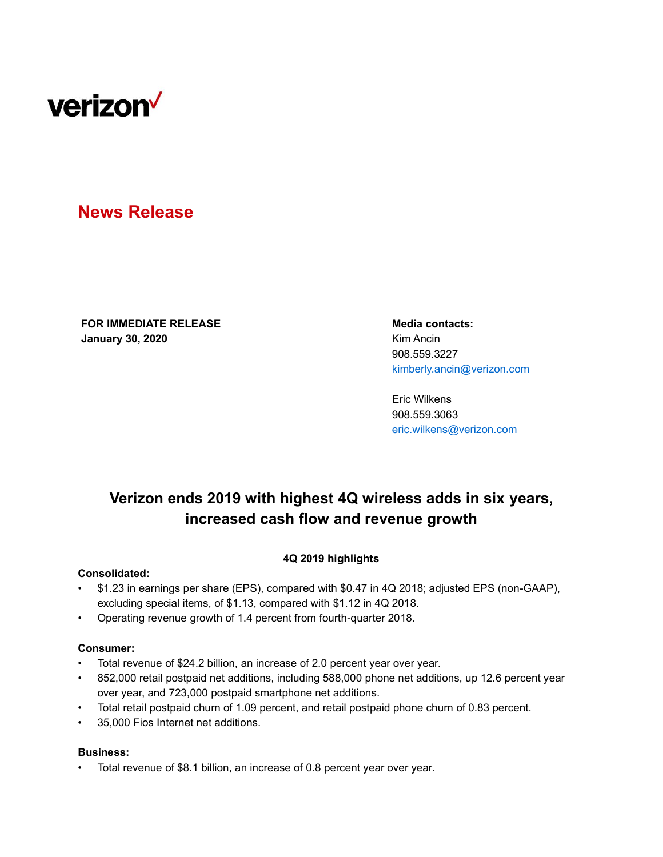

# **News Release**

**FOR IMMEDIATE RELEASE Media contacts: January 30, 2020** Kim Ancin

908.559.3227 kimberly.ancin@verizon.com

Eric Wilkens 908.559.3063 eric.wilkens@verizon.com

# **Verizon ends 2019 with highest 4Q wireless adds in six years, increased cash flow and revenue growth**

## **4Q 2019 highlights**

#### **Consolidated:**

- \$1.23 in earnings per share (EPS), compared with \$0.47 in 4Q 2018; adjusted EPS (non-GAAP), excluding special items, of \$1.13, compared with \$1.12 in 4Q 2018.
- Operating revenue growth of 1.4 percent from fourth-quarter 2018.

#### **Consumer:**

- Total revenue of \$24.2 billion, an increase of 2.0 percent year over year.
- 852,000 retail postpaid net additions, including 588,000 phone net additions, up 12.6 percent year over year, and 723,000 postpaid smartphone net additions.
- Total retail postpaid churn of 1.09 percent, and retail postpaid phone churn of 0.83 percent.
- 35,000 Fios Internet net additions.

#### **Business:**

• Total revenue of \$8.1 billion, an increase of 0.8 percent year over year.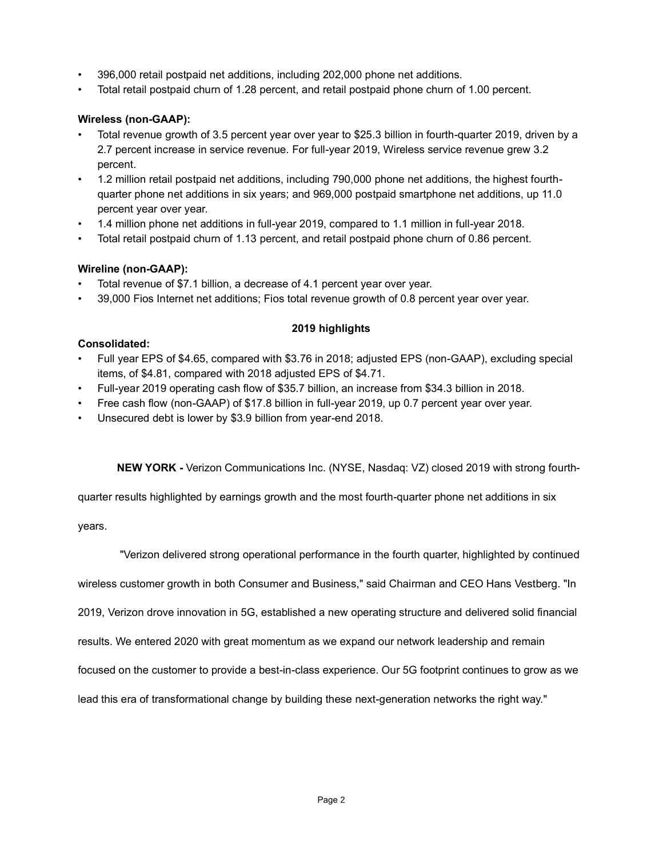- 396,000 retail postpaid net additions, including 202,000 phone net additions.
- Total retail postpaid churn of 1.28 percent, and retail postpaid phone churn of 1.00 percent.

# **Wireless (non-GAAP):**

- Total revenue growth of 3.5 percent year over year to \$25.3 billion in fourth-quarter 2019, driven by a 2.7 percent increase in service revenue. For full-year 2019, Wireless service revenue grew 3.2 percent.
- 1.2 million retail postpaid net additions, including 790,000 phone net additions, the highest fourthquarter phone net additions in six years; and 969,000 postpaid smartphone net additions, up 11.0 percent year over year.
- 1.4 million phone net additions in full-year 2019, compared to 1.1 million in full-year 2018.
- Total retail postpaid churn of 1.13 percent, and retail postpaid phone churn of 0.86 percent.

# **Wireline (non-GAAP):**

- Total revenue of \$7.1 billion, a decrease of 4.1 percent year over year.
- 39,000 Fios Internet net additions; Fios total revenue growth of 0.8 percent year over year.

# **2019 highlights**

## **Consolidated:**

- Full year EPS of \$4.65, compared with \$3.76 in 2018; adjusted EPS (non-GAAP), excluding special items, of \$4.81, compared with 2018 adjusted EPS of \$4.71.
- Full-year 2019 operating cash flow of \$35.7 billion, an increase from \$34.3 billion in 2018.
- Free cash flow (non-GAAP) of \$17.8 billion in full-year 2019, up 0.7 percent year over year.
- Unsecured debt is lower by \$3.9 billion from year-end 2018.

**NEW YORK -** Verizon Communications Inc. (NYSE, Nasdaq: VZ) closed 2019 with strong fourth-

quarter results highlighted by earnings growth and the most fourth-quarter phone net additions in six

years.

"Verizon delivered strong operational performance in the fourth quarter, highlighted by continued

wireless customer growth in both Consumer and Business," said Chairman and CEO Hans Vestberg. "In

2019, Verizon drove innovation in 5G, established a new operating structure and delivered solid financial

results. We entered 2020 with great momentum as we expand our network leadership and remain

focused on the customer to provide a best-in-class experience. Our 5G footprint continues to grow as we

lead this era of transformational change by building these next-generation networks the right way."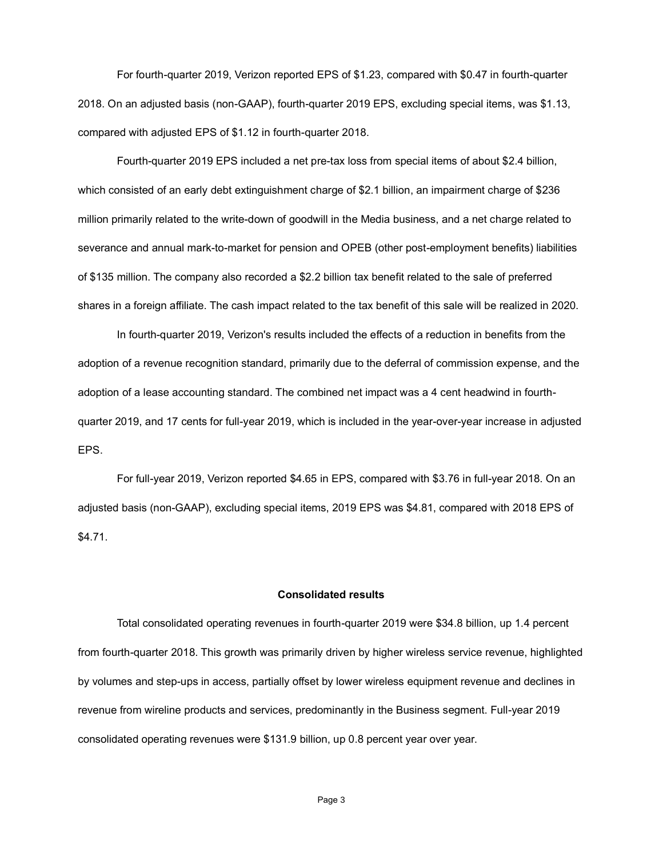For fourth-quarter 2019, Verizon reported EPS of \$1.23, compared with \$0.47 in fourth-quarter 2018. On an adjusted basis (non-GAAP), fourth-quarter 2019 EPS, excluding special items, was \$1.13, compared with adjusted EPS of \$1.12 in fourth-quarter 2018.

Fourth-quarter 2019 EPS included a net pre-tax loss from special items of about \$2.4 billion, which consisted of an early debt extinguishment charge of \$2.1 billion, an impairment charge of \$236 million primarily related to the write-down of goodwill in the Media business, and a net charge related to severance and annual mark-to-market for pension and OPEB (other post-employment benefits) liabilities of \$135 million. The company also recorded a \$2.2 billion tax benefit related to the sale of preferred shares in a foreign affiliate. The cash impact related to the tax benefit of this sale will be realized in 2020.

In fourth-quarter 2019, Verizon's results included the effects of a reduction in benefits from the adoption of a revenue recognition standard, primarily due to the deferral of commission expense, and the adoption of a lease accounting standard. The combined net impact was a 4 cent headwind in fourthquarter 2019, and 17 cents for full-year 2019, which is included in the year-over-year increase in adjusted EPS.

For full-year 2019, Verizon reported \$4.65 in EPS, compared with \$3.76 in full-year 2018. On an adjusted basis (non-GAAP), excluding special items, 2019 EPS was \$4.81, compared with 2018 EPS of \$4.71.

#### **Consolidated results**

Total consolidated operating revenues in fourth-quarter 2019 were \$34.8 billion, up 1.4 percent from fourth-quarter 2018. This growth was primarily driven by higher wireless service revenue, highlighted by volumes and step-ups in access, partially offset by lower wireless equipment revenue and declines in revenue from wireline products and services, predominantly in the Business segment. Full-year 2019 consolidated operating revenues were \$131.9 billion, up 0.8 percent year over year.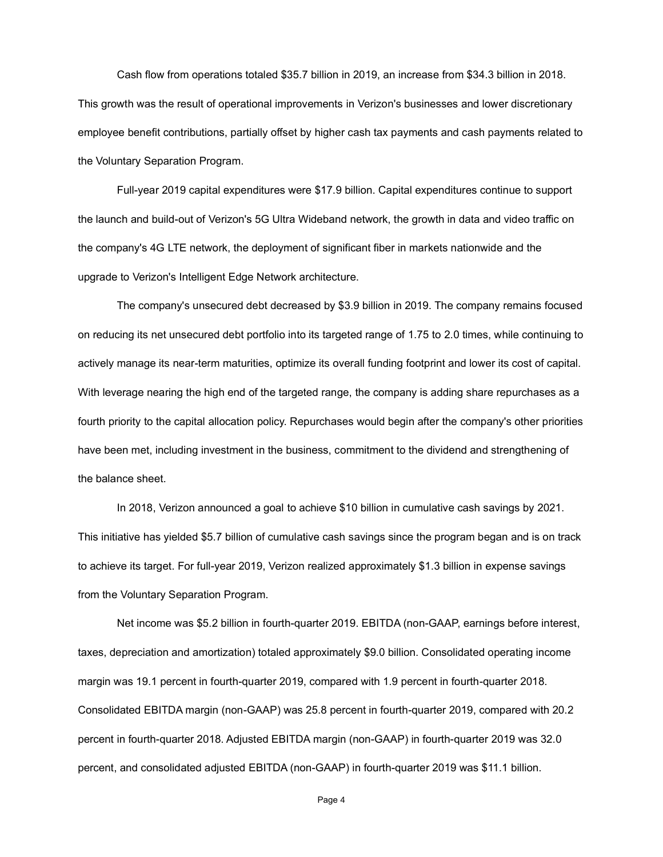Cash flow from operations totaled \$35.7 billion in 2019, an increase from \$34.3 billion in 2018. This growth was the result of operational improvements in Verizon's businesses and lower discretionary employee benefit contributions, partially offset by higher cash tax payments and cash payments related to the Voluntary Separation Program.

Full-year 2019 capital expenditures were \$17.9 billion. Capital expenditures continue to support the launch and build-out of Verizon's 5G Ultra Wideband network, the growth in data and video traffic on the company's 4G LTE network, the deployment of significant fiber in markets nationwide and the upgrade to Verizon's Intelligent Edge Network architecture.

The company's unsecured debt decreased by \$3.9 billion in 2019. The company remains focused on reducing its net unsecured debt portfolio into its targeted range of 1.75 to 2.0 times, while continuing to actively manage its near-term maturities, optimize its overall funding footprint and lower its cost of capital. With leverage nearing the high end of the targeted range, the company is adding share repurchases as a fourth priority to the capital allocation policy. Repurchases would begin after the company's other priorities have been met, including investment in the business, commitment to the dividend and strengthening of the balance sheet.

In 2018, Verizon announced a goal to achieve \$10 billion in cumulative cash savings by 2021. This initiative has yielded \$5.7 billion of cumulative cash savings since the program began and is on track to achieve its target. For full-year 2019, Verizon realized approximately \$1.3 billion in expense savings from the Voluntary Separation Program.

Net income was \$5.2 billion in fourth-quarter 2019. EBITDA (non-GAAP, earnings before interest, taxes, depreciation and amortization) totaled approximately \$9.0 billion. Consolidated operating income margin was 19.1 percent in fourth-quarter 2019, compared with 1.9 percent in fourth-quarter 2018. Consolidated EBITDA margin (non-GAAP) was 25.8 percent in fourth-quarter 2019, compared with 20.2 percent in fourth-quarter 2018. Adjusted EBITDA margin (non-GAAP) in fourth-quarter 2019 was 32.0 percent, and consolidated adjusted EBITDA (non-GAAP) in fourth-quarter 2019 was \$11.1 billion.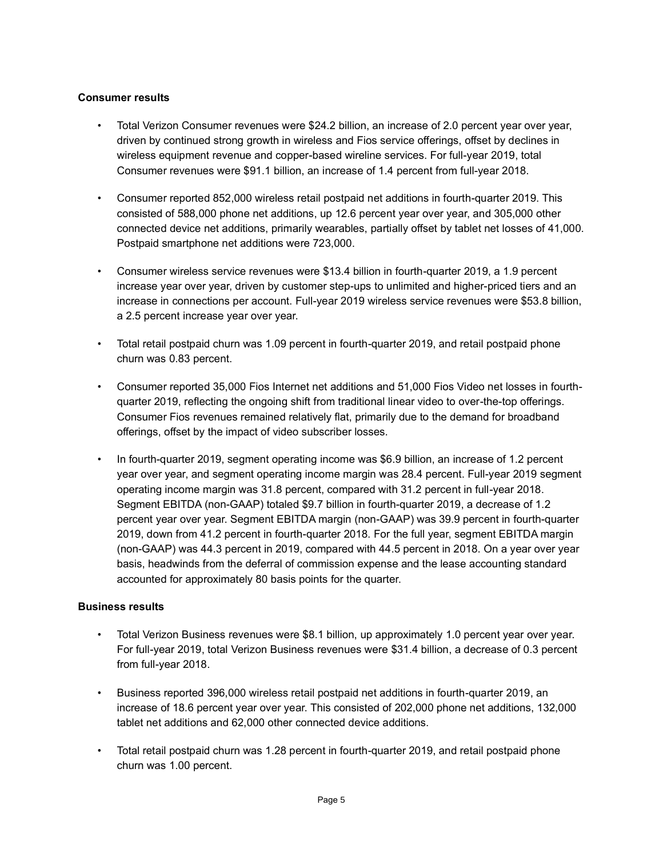# **Consumer results**

- Total Verizon Consumer revenues were \$24.2 billion, an increase of 2.0 percent year over year, driven by continued strong growth in wireless and Fios service offerings, offset by declines in wireless equipment revenue and copper-based wireline services. For full-year 2019, total Consumer revenues were \$91.1 billion, an increase of 1.4 percent from full-year 2018.
- Consumer reported 852,000 wireless retail postpaid net additions in fourth-quarter 2019. This consisted of 588,000 phone net additions, up 12.6 percent year over year, and 305,000 other connected device net additions, primarily wearables, partially offset by tablet net losses of 41,000. Postpaid smartphone net additions were 723,000.
- Consumer wireless service revenues were \$13.4 billion in fourth-quarter 2019, a 1.9 percent increase year over year, driven by customer step-ups to unlimited and higher-priced tiers and an increase in connections per account. Full-year 2019 wireless service revenues were \$53.8 billion, a 2.5 percent increase year over year.
- Total retail postpaid churn was 1.09 percent in fourth-quarter 2019, and retail postpaid phone churn was 0.83 percent.
- Consumer reported 35,000 Fios Internet net additions and 51,000 Fios Video net losses in fourthquarter 2019, reflecting the ongoing shift from traditional linear video to over-the-top offerings. Consumer Fios revenues remained relatively flat, primarily due to the demand for broadband offerings, offset by the impact of video subscriber losses.
- In fourth-quarter 2019, segment operating income was \$6.9 billion, an increase of 1.2 percent year over year, and segment operating income margin was 28.4 percent. Full-year 2019 segment operating income margin was 31.8 percent, compared with 31.2 percent in full-year 2018. Segment EBITDA (non-GAAP) totaled \$9.7 billion in fourth-quarter 2019, a decrease of 1.2 percent year over year. Segment EBITDA margin (non-GAAP) was 39.9 percent in fourth-quarter 2019, down from 41.2 percent in fourth-quarter 2018. For the full year, segment EBITDA margin (non-GAAP) was 44.3 percent in 2019, compared with 44.5 percent in 2018. On a year over year basis, headwinds from the deferral of commission expense and the lease accounting standard accounted for approximately 80 basis points for the quarter.

## **Business results**

- Total Verizon Business revenues were \$8.1 billion, up approximately 1.0 percent year over year. For full-year 2019, total Verizon Business revenues were \$31.4 billion, a decrease of 0.3 percent from full-year 2018.
- Business reported 396,000 wireless retail postpaid net additions in fourth-quarter 2019, an increase of 18.6 percent year over year. This consisted of 202,000 phone net additions, 132,000 tablet net additions and 62,000 other connected device additions.
- Total retail postpaid churn was 1.28 percent in fourth-quarter 2019, and retail postpaid phone churn was 1.00 percent.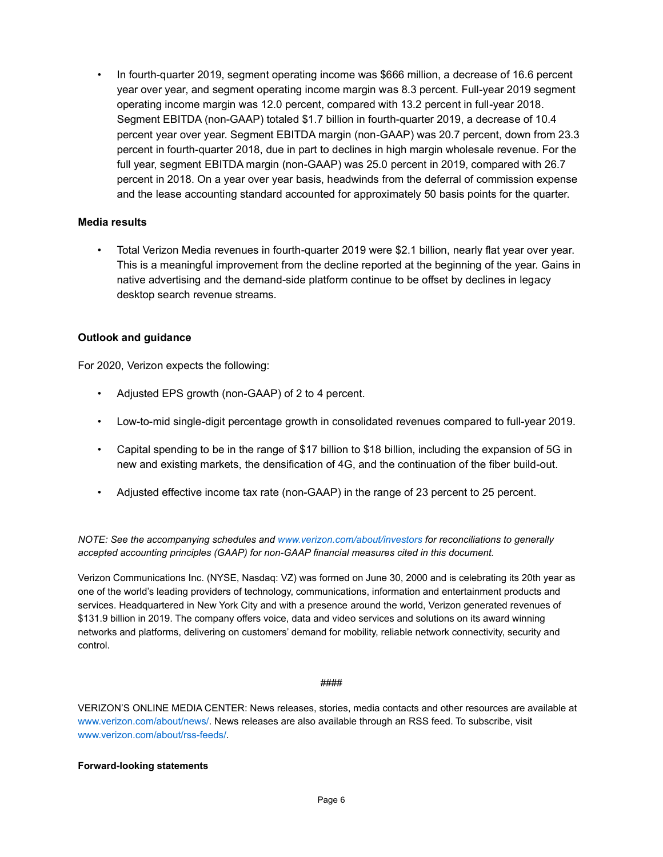• In fourth-quarter 2019, segment operating income was \$666 million, a decrease of 16.6 percent year over year, and segment operating income margin was 8.3 percent. Full-year 2019 segment operating income margin was 12.0 percent, compared with 13.2 percent in full-year 2018. Segment EBITDA (non-GAAP) totaled \$1.7 billion in fourth-quarter 2019, a decrease of 10.4 percent year over year. Segment EBITDA margin (non-GAAP) was 20.7 percent, down from 23.3 percent in fourth-quarter 2018, due in part to declines in high margin wholesale revenue. For the full year, segment EBITDA margin (non-GAAP) was 25.0 percent in 2019, compared with 26.7 percent in 2018. On a year over year basis, headwinds from the deferral of commission expense and the lease accounting standard accounted for approximately 50 basis points for the quarter.

### **Media results**

• Total Verizon Media revenues in fourth-quarter 2019 were \$2.1 billion, nearly flat year over year. This is a meaningful improvement from the decline reported at the beginning of the year. Gains in native advertising and the demand-side platform continue to be offset by declines in legacy desktop search revenue streams.

### **Outlook and guidance**

For 2020, Verizon expects the following:

- Adjusted EPS growth (non-GAAP) of 2 to 4 percent.
- Low-to-mid single-digit percentage growth in consolidated revenues compared to full-year 2019.
- Capital spending to be in the range of \$17 billion to \$18 billion, including the expansion of 5G in new and existing markets, the densification of 4G, and the continuation of the fiber build-out.
- Adjusted effective income tax rate (non-GAAP) in the range of 23 percent to 25 percent.

*NOTE: See the accompanying schedules and www.verizon.com/about/investors for reconciliations to generally accepted accounting principles (GAAP) for non-GAAP financial measures cited in this document.*

Verizon Communications Inc. (NYSE, Nasdaq: VZ) was formed on June 30, 2000 and is celebrating its 20th year as one of the world's leading providers of technology, communications, information and entertainment products and services. Headquartered in New York City and with a presence around the world, Verizon generated revenues of \$131.9 billion in 2019. The company offers voice, data and video services and solutions on its award winning networks and platforms, delivering on customers' demand for mobility, reliable network connectivity, security and control.

#### ####

VERIZON'S ONLINE MEDIA CENTER: News releases, stories, media contacts and other resources are available at www.verizon.com/about/news/. News releases are also available through an RSS feed. To subscribe, visit www.verizon.com/about/rss-feeds/.

#### **Forward-looking statements**